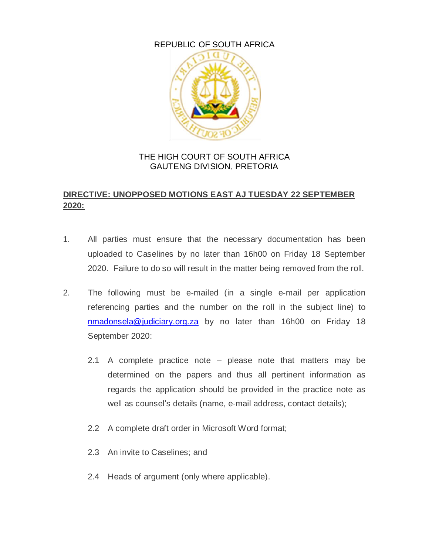## REPUBLIC OF SOUTH AFRICA



## THE HIGH COURT OF SOUTH AFRICA GAUTENG DIVISION, PRETORIA

## **DIRECTIVE: UNOPPOSED MOTIONS EAST AJ TUESDAY 22 SEPTEMBER 2020:**

- 1. All parties must ensure that the necessary documentation has been uploaded to Caselines by no later than 16h00 on Friday 18 September 2020. Failure to do so will result in the matter being removed from the roll.
- 2. The following must be e-mailed (in a single e-mail per application referencing parties and the number on the roll in the subject line) to [nmadonsela@judiciary.org.za](mailto:nmadonsela@judiciary.org.za) by no later than 16h00 on Friday 18 September 2020:
	- 2.1 A complete practice note please note that matters may be determined on the papers and thus all pertinent information as regards the application should be provided in the practice note as well as counsel's details (name, e-mail address, contact details);
	- 2.2 A complete draft order in Microsoft Word format;
	- 2.3 An invite to Caselines; and
	- 2.4 Heads of argument (only where applicable).